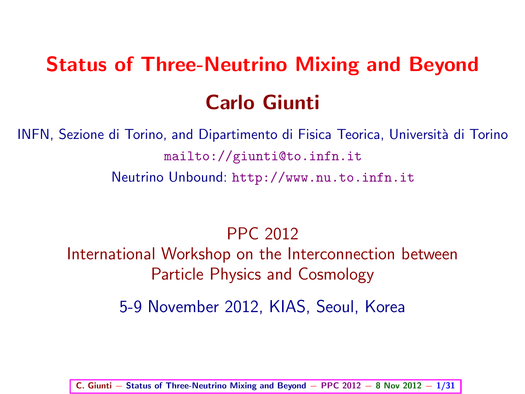# Status of Three-Neutrino Mixing and Beyond Carlo Giunti

INFN, Sezione di Torino, and Dipartimento di Fisica Teorica, Universit`a di Torino <mailto://giunti@to.infn.it> Neutrino Unbound: <http://www.nu.to.infn.it>

PPC 2012

International Workshop on the Interconnection between Particle Physics and Cosmology

5-9 November 2012, KIAS, Seoul, Korea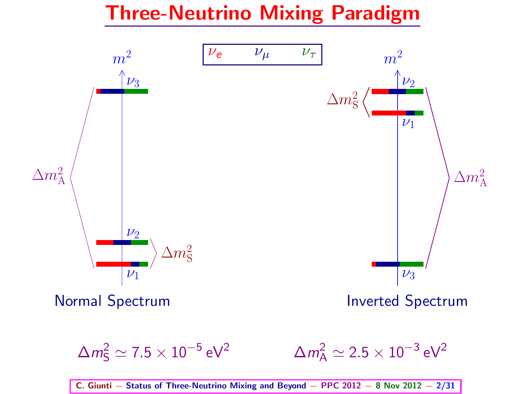#### Three-Neutrino Mixing Paradigm



 $\Delta m_{\mathsf{S}}^2 \simeq 7.5 \times 10^{-5}$ eV<sup>2</sup>  $\Delta m_{\rm A}^2 \simeq 2.5 \times 10^{-3} \, \rm eV^2$ 

C. Giunti – Status of Three-Neutrino Mixing and Beyond – PPC 2012 – 8 Nov 2012 – 2/31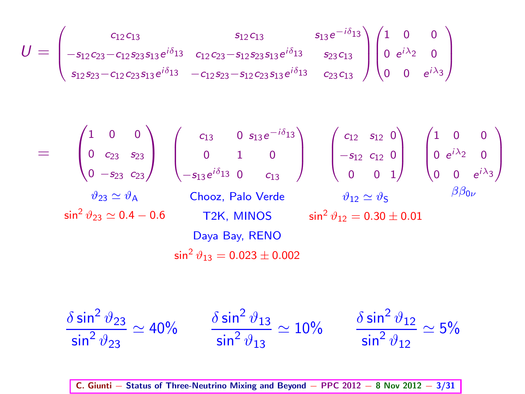$$
U = \begin{pmatrix} c_{12}c_{13} & s_{12}c_{13} & s_{13}e^{-i\delta_{13}} \\ -s_{12}c_{23}-c_{12}s_{23}s_{13}e^{i\delta_{13}} & c_{12}c_{23}-s_{12}s_{23}s_{13}e^{i\delta_{13}} & s_{23}c_{13} \\ s_{12}s_{23}-c_{12}c_{23}s_{13}e^{i\delta_{13}} & -c_{12}s_{23}-s_{12}c_{23}s_{13}e^{i\delta_{13}} & c_{23}c_{13} \end{pmatrix} \begin{pmatrix} 1 & 0 & 0 \\ 0 & e^{i\lambda_2} & 0 \\ 0 & 0 & e^{i\lambda_3} \end{pmatrix}
$$

$$
= \begin{pmatrix} 1 & 0 & 0 \ 0 & c_{23} & s_{23} \ 0 & -s_{23} & c_{23} \end{pmatrix} \begin{pmatrix} c_{13} & 0 & s_{13}e^{-i\delta_{13}} \\ 0 & 1 & 0 \\ -s_{13}e^{i\delta_{13}} & 0 & c_{13} \end{pmatrix} \begin{pmatrix} c_{12} & s_{12} & 0 \\ -s_{12} & c_{12} & 0 \\ 0 & 0 & 1 \end{pmatrix} \begin{pmatrix} 1 & 0 & 0 \\ 0 & e^{i\lambda_{2}} & 0 \\ 0 & 0 & e^{i\lambda_{3}} \end{pmatrix}
$$
  
\n
$$
\psi_{23} \simeq \psi_{A} \qquad \text{Chooz, Palo Verde} \qquad \psi_{12} \simeq \psi_{S} \qquad \beta\beta_{0\nu}
$$
  
\n
$$
\sin^{2}\psi_{23} \simeq 0.4 - 0.6 \qquad \text{T2K, MINOS} \qquad \sin^{2}\psi_{12} = 0.30 \pm 0.01
$$
  
\n
$$
\sin^{2}\psi_{13} = 0.023 \pm 0.002
$$

$$
\frac{\delta \sin^2 \vartheta_{23}}{\sin^2 \vartheta_{23}} \simeq 40\% \qquad \frac{\delta \sin^2 \vartheta_{13}}{\sin^2 \vartheta_{13}} \simeq 10\% \qquad \frac{\delta \sin^2 \vartheta_{12}}{\sin^2 \vartheta_{12}} \simeq 5\%
$$

C. Giunti − Status of Three-Neutrino Mixing and Beyond − PPC 2012 − 8 Nov 2012 − 3/31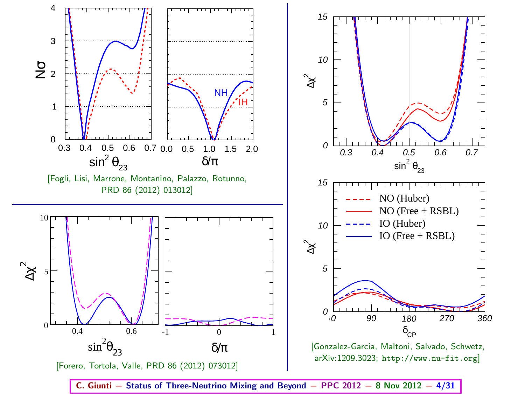

C. Giunti – Status of Three-Neutrino Mixing and Beyond – PPC 2012 – 8 Nov 2012 – 4/31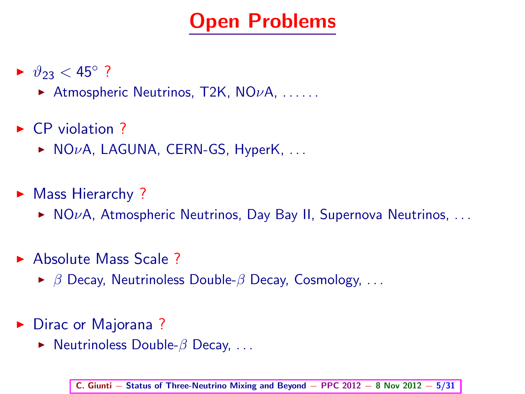#### Open Problems

- ►  $\vartheta_{23}$  < 45°?
	- Atmospheric Neutrinos, T2K,  $NO\nu A$ , .....
- $\triangleright$  CP violation ?
	- $\triangleright$  NO<sub>V</sub>A, LAGUNA, CERN-GS, HyperK, ...
- ▶ Mass Hierarchy ?
	- $\triangleright$  NOvA, Atmospheric Neutrinos, Day Bay II, Supernova Neutrinos, ...
- ► Absolute Mass Scale ?
	- $\triangleright$   $\beta$  Decay, Neutrinoless Double- $\beta$  Decay, Cosmology, ...
- ► Dirac or Majorana?
	- $\triangleright$  Neutrinoless Double- $\beta$  Decay, ...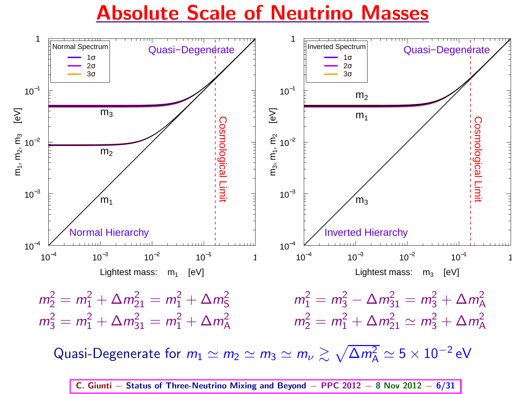Absolute Scale of Neutrino Masses



C. Giunti – Status of Three-Neutrino Mixing and Beyond – PPC 2012 – 8 Nov 2012 – 6/31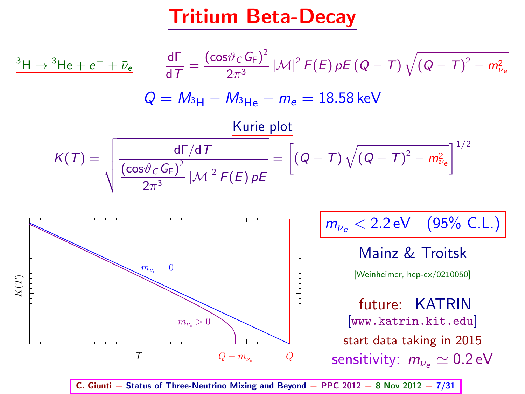#### Tritium Beta-Decay



C. Giunti − Status of Three-Neutrino Mixing and Beyond − PPC 2012 − 8 Nov 2012 − 7/31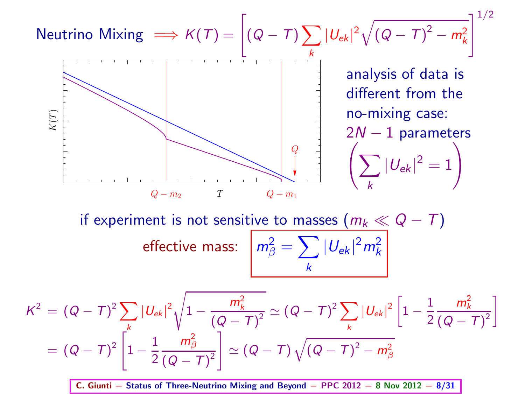Neutrino Mixing 
$$
\Rightarrow K(T) = \left[ (Q - T) \sum_{k} |U_{ek}|^2 \sqrt{(Q - T)^2 - m_k^2} \right]^{1/2}
$$
  
\nanalysis of data is different from the  
\nno-mixing case:  
\n $2N - 1$  parameters  
\n $\left( \sum_{k} |U_{ek}|^2 = 1 \right)$   
\nif experiment is not sensitive to masses  $(m_k \ll Q - T)$   
\neffective mass:  $m_\beta^2 = \sum_{k} |U_{ek}|^2 m_k^2$   
\n $K^2 = (Q - T)^2 \sum_{k} |U_{ek}|^2 \sqrt{1 - \frac{m_k^2}{(Q - T)^2}} \approx (Q - T)^2 \sum_{k} |U_{ek}|^2 \left[ 1 - \frac{1}{2} \frac{m_k^2}{(Q - T)^2} \right]$   
\n $= (Q - T)^2 \left[ 1 - \frac{1}{2} \frac{m_\beta^2}{(Q - T)^2} \right] \approx (Q - T) \sqrt{(Q - T)^2 - m_\beta^2}$   
\nC. Giunti – Status of Three-Neutrino Mixing and Beyond – PPC 2012 – 8 Nov 2012 – 8/21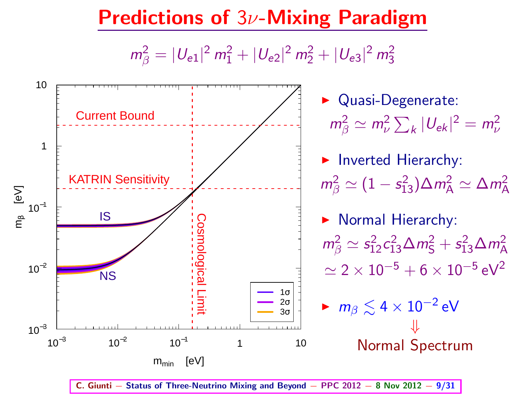#### Predictions of 3ν-Mixing Paradigm

 $m_{\beta}^2 = |U_{e1}|^2 m_1^2 + |U_{e2}|^2 m_2^2 + |U_{e3}|^2 m_3^2$ 



C. Giunti − Status of Three-Neutrino Mixing and Beyond − PPC 2012 − 8 Nov 2012 − 9/31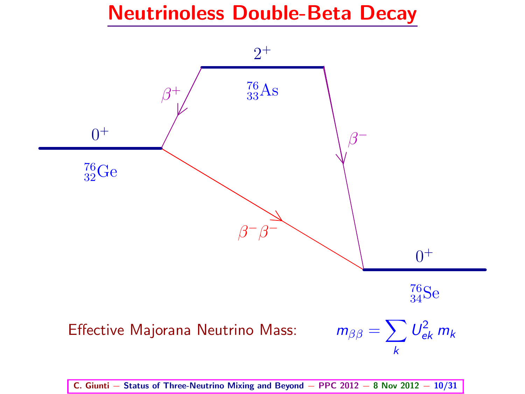#### Neutrinoless Double-Beta Decay



C. Giunti – Status of Three-Neutrino Mixing and Beyond – PPC  $2012 - 8$  Nov  $2012 - 10/31$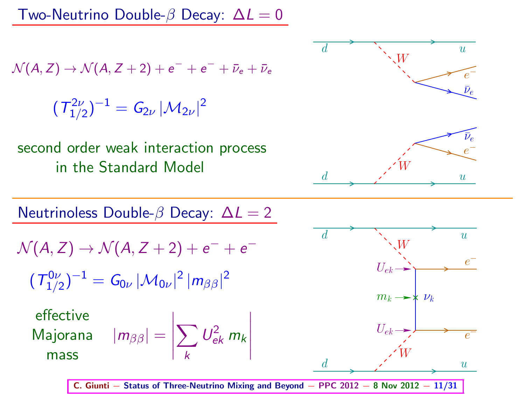Two-Neutrino Double- $\beta$  Decay:  $\Delta L = 0$ 

$$
\mathcal{N}(A,Z) \rightarrow \mathcal{N}(A,Z+2) + e^- + e^- + \bar{\nu}_e + \bar{\nu}_e
$$

 $({\it T}_{1/2}^{2\nu})^{-1}={\it G}_{2\nu}\,|{\cal M}_{2\nu}|^2$ 

second order weak interaction process in the Standard Model







 $\epsilon$ 

π

 $\epsilon$ 

 $\overline{\overline{u}}$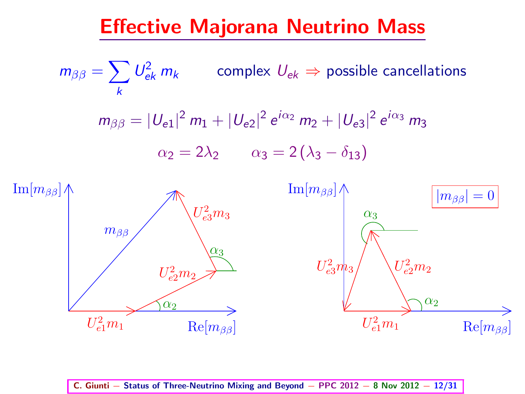#### Effective Majorana Neutrino Mass





C. Giunti – Status of Three-Neutrino Mixing and Beyond – PPC 2012 – 8 Nov 2012 – 12/31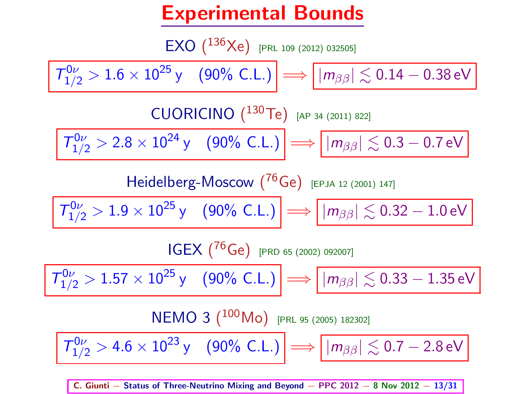#### Experimental Bounds

 $EXO (136 \text{Xe})$  [PRL 109 (2012) 032505]

$$
\boxed{\varGamma_{1/2}^{0\nu}>1.6\times10^{25}\,\text{y}\quad (90\%\text{ C.L.})}\Longrightarrow \boxed{|m_{\beta\beta}|\lesssim0.14-0.38\,\text{eV}}
$$

CUORICINO  $(^{130}$ Te) [AP 34 (2011) 822]

 $T_{1/2}^{0\nu} > 2.8 \times 10^{24} \,\text{y}$  (90% C.L.)  $\implies$   $\left|\, |m_{\beta\beta}|\lesssim 0.3-0.7 \,\text{eV}\right|$ 

Heidelberg-Moscow 
$$
(^{76}Ge)
$$
 [EPJA 12 (2001) 147]

$$
\boxed{\mathit{T}^{0\nu}_{1/2}>1.9\times10^{25}\,\text{y}}\quad \text{(90\%\ C.L.)}\implies \boxed{|m_{\beta\beta}|\lesssim0.32-1.0\,\text{eV}}
$$

IGEX ( <sup>76</sup>Ge) [PRD 65 (2002) 092007]

 $\left|T^{0\nu}_{1/2} > 1.57 \times 10^{25} \,\mathrm{y} \right| \left|90\% \right| \left| \left| \right| \right| \Longrightarrow \left| \left| m_{\beta\beta} \right| \lesssim 0.33 - 1.35 \, \mathrm{eV}$ 

$$
NEMO\ 3\ (^{100}Mo)\ \mathrm{[PRL 95 (2005) 182302]}
$$

 $T_{1/2}^{0\nu} > 4.6 \times 10^{23} \,\text{y}$  (90% C.L.)  $\implies$   $\big| |m_{\beta\beta}| \lesssim 0.7 - 2.8 \,\text{eV}$ 

C. Giunti – Status of Three-Neutrino Mixing and Beyond – PPC 2012 – 8 Nov 2012 – 13/31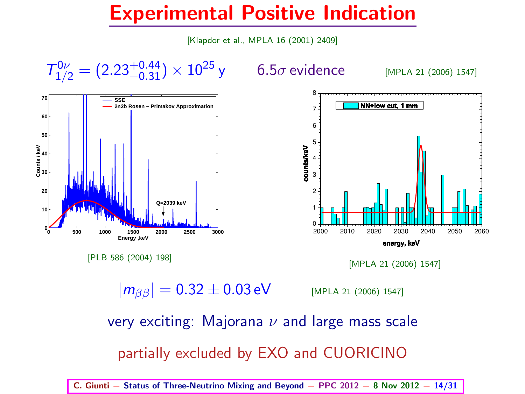#### Experimental Positive Indication

[Klapdor et al., MPLA 16 (2001) 2409]



[MPLA 21 (2006) 1547]

 $|m_{\beta\beta}| = 0.32 \pm 0.03 \,\text{eV}$  [MPLA 21 (2006) 1547]

very exciting: Majorana  $\nu$  and large mass scale partially excluded by EXO and CUORICINO

C. Giunti – Status of Three-Neutrino Mixing and Beyond – PPC  $2012 - 8$  Nov  $2012 - 14/31$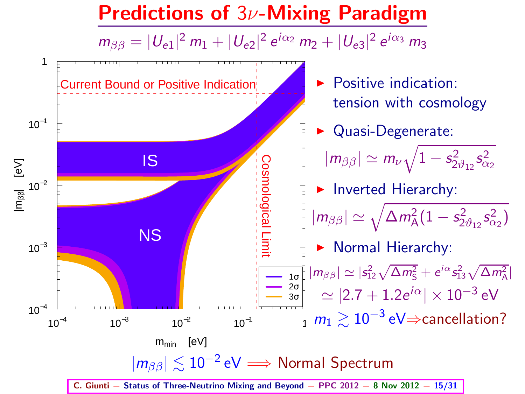#### Predictions of 3ν-Mixing Paradigm

 $m_{\beta\beta} = |U_{e1}|^2 m_1 + |U_{e2}|^2 e^{i\alpha_2} m_2 + |U_{e3}|^2 e^{i\alpha_3} m_3$ 

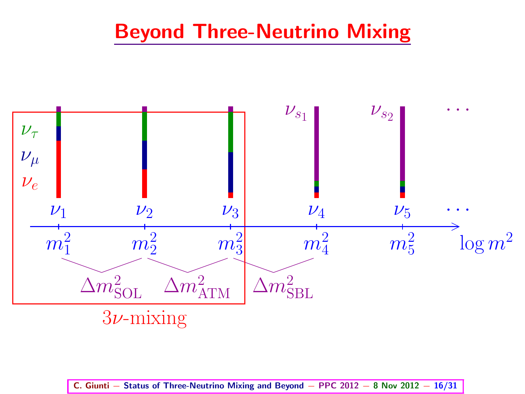#### Beyond Three-Neutrino Mixing



C. Giunti – Status of Three-Neutrino Mixing and Beyond – PPC 2012 – 8 Nov 2012 – 16/31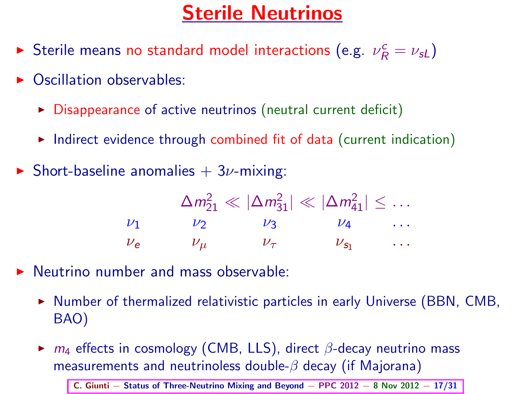#### Sterile Neutrinos

- Sterile means no standard model interactions (e.g.  $\nu_R^c = \nu_{sL}$ )
- $\triangleright$  Oscillation observables:
	- $\triangleright$  Disappearance of active neutrinos (neutral current deficit)
	- ► Indirect evidence through combined fit of data (current indication)
- Short-baseline anomalies  $+3\nu$ -mixing:

$$
\Delta m_{21}^2 \ll |\Delta m_{31}^2| \ll |\Delta m_{41}^2| \leq \dots
$$
  

$$
\nu_1 \qquad \nu_2 \qquad \nu_3 \qquad \nu_4 \qquad \dots
$$
  

$$
\nu_e \qquad \nu_\mu \qquad \nu_\tau \qquad \nu_{s_1} \qquad \dots
$$

- $\triangleright$  Neutrino number and mass observable:
	- ► Number of thermalized relativistic particles in early Universe (BBN, CMB, BAO)
	- $\triangleright$   $m_4$  effects in cosmology (CMB, LLS), direct  $\beta$ -decay neutrino mass measurements and neutrinoless double- $\beta$  decay (if Majorana)

C. Giunti – Status of Three-Neutrino Mixing and Beyond – PPC  $2012 - 8$  Nov  $2012 - 17/31$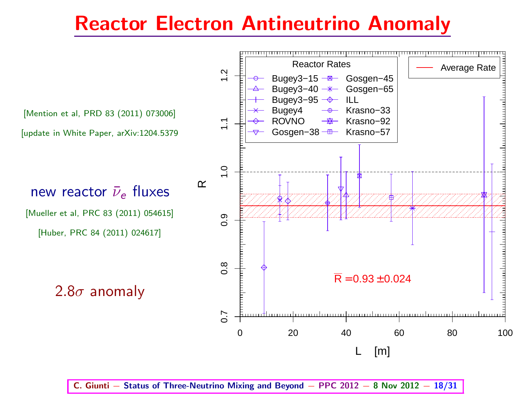#### Reactor Electron Antineutrino Anomaly



C. Giunti – Status of Three-Neutrino Mixing and Beyond – PPC 2012 – 8 Nov 2012 – 18/31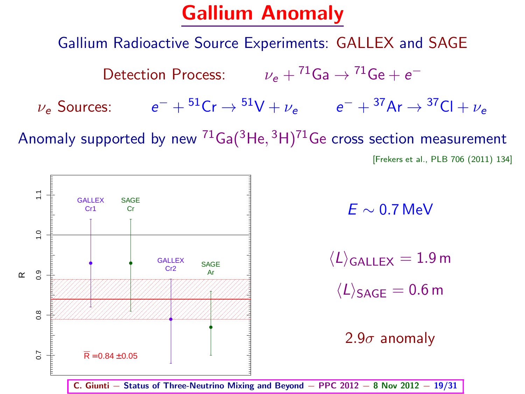#### Gallium Anomaly

Gallium Radioactive Source Experiments: GALLEX and SAGE

Detection Process:  $\nu_e + {}^{71}Ga \rightarrow {}^{71}Ge + e^ \nu_e$  Sources:  $e^- + {}^{51}Cr \rightarrow {}^{51}V + \nu_e$   $e^- + {}^{37}Ar \rightarrow {}^{37}Cl + \nu_e$ 

Anomaly supported by new  $^{71}$ Ga $(^3$ He,  $^3$ H) $^{71}$ Ge cross section measurement

[Frekers et al., PLB 706 (2011) 134]



 $F \sim 0.7$  MeV

 $\langle L \rangle$ <sub>GALLEX</sub> = 1.9 m  $\langle L \rangle_{\text{SAGE}} = 0.6 \,\text{m}$ 

2.9 $\sigma$  anomaly

C. Giunti – Status of Three-Neutrino Mixing and Beyond – PPC  $2012 - 8$  Nov  $2012 - 19/31$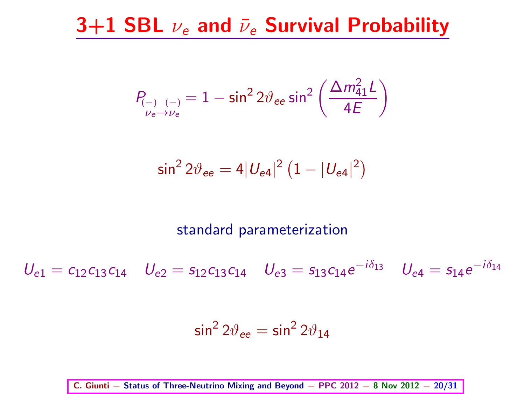#### 3+1 SBL  $\nu_e$  and  $\bar{\nu}_e$  Survival Probability

$$
P_{\underset{\nu_e \to \nu_e}{\longrightarrow} \nu_e} = 1 - \sin^2 2\vartheta_{ee} \sin^2 \left(\frac{\Delta m_{41}^2 L}{4E}\right)
$$

$$
\sin^2 2\vartheta_{ee} = 4|U_{e4}|^2\left(1-|U_{e4}|^2\right)
$$

#### standard parameterization

 $U_{e1} = c_{12}c_{13}c_{14}$   $U_{e2} = s_{12}c_{13}c_{14}$   $U_{e3} = s_{13}c_{14}e^{-i\delta_{13}}$   $U_{e4} = s_{14}e^{-i\delta_{14}}$ 

$$
\sin^2 2\vartheta_{ee} = \sin^2 2\vartheta_{14}
$$

C. Giunti − Status of Three-Neutrino Mixing and Beyond − PPC 2012 − 8 Nov 2012 − 20/31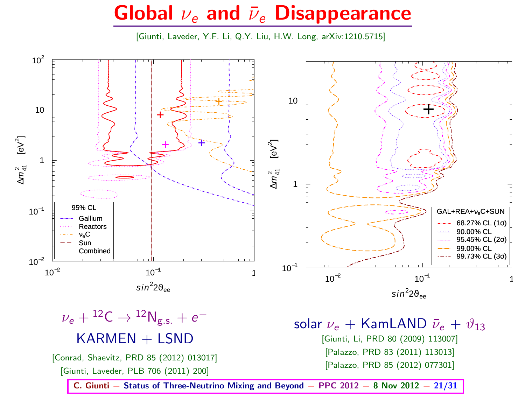#### Global  $\nu_e$  and  $\bar{\nu}_e$  Disappearance

[Giunti, Laveder, Y.F. Li, Q.Y. Liu, H.W. Long, arXiv:1210.5715]



$$
\begin{aligned} \nu_e + {}^{12}\textrm{C} &\rightarrow {}^{12}\textrm{N}_{\textrm{g.s.}} + e^- \\ \textrm{KARMEN} + \textrm{LSND} \end{aligned}
$$

[Conrad, Shaevitz, PRD 85 (2012) 013017]

[Giunti, Laveder, PLB 706 (2011) 200]

solar  $\nu_e$  + KamLAND  $\bar{\nu}_e$  +  $\vartheta_{13}$ [Giunti, Li, PRD 80 (2009) 113007] [Palazzo, PRD 83 (2011) 113013] [Palazzo, PRD 85 (2012) 077301]

C. Giunti – Status of Three-Neutrino Mixing and Beyond – PPC  $2012 - 8$  Nov  $2012 - 21/31$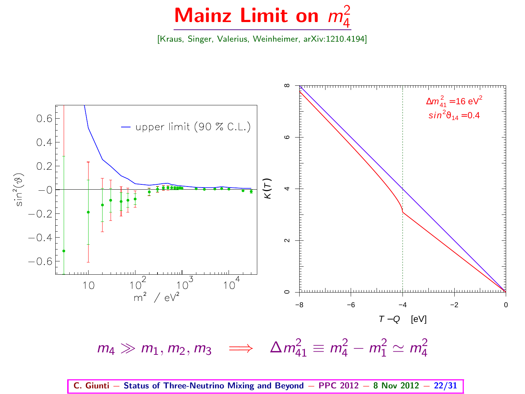# Mainz Limit on  $m_4^2$

[Kraus, Singer, Valerius, Weinheimer, arXiv:1210.4194]



C. Giunti – Status of Three-Neutrino Mixing and Beyond – PPC  $2012 - 8$  Nov  $2012 - 22/31$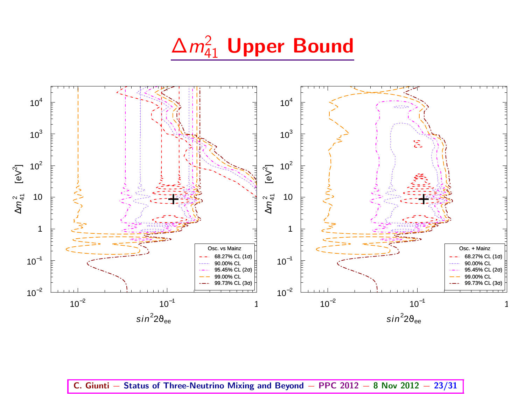$\Delta m^2_{41}$  Upper Bound



C. Giunti − Status of Three-Neutrino Mixing and Beyond − PPC 2012 − 8 Nov 2012 − 23/31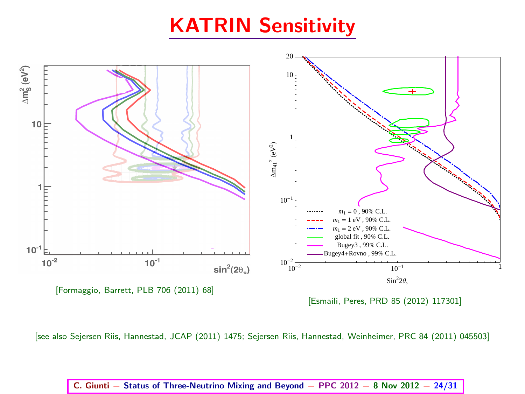#### KATRIN Sensitivity



[see also Sejersen Riis, Hannestad, JCAP (2011) 1475; Sejersen Riis, Hannestad, Weinheimer, PRC 84 (2011) 045503]

#### C. Giunti – Status of Three-Neutrino Mixing and Beyond – PPC 2012 – 8 Nov 2012 – 24/31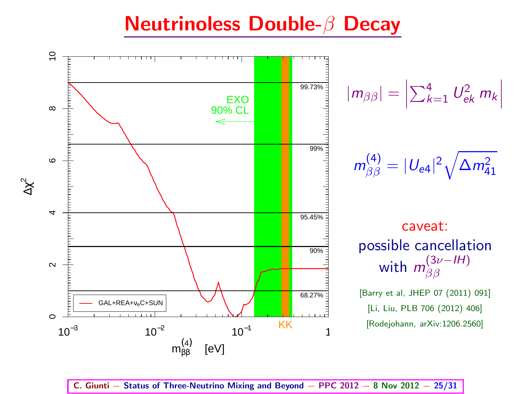#### Neutrinoless Double-β Decay



$$
|m_{\beta\beta}|=\left|\sum_{k=1}^4 U_{ek}^2\ m_k\right|
$$

$$
m^{(4)}_{\beta\beta}=|U_{\textrm{e}4}|^2\sqrt{\Delta m^2_{41}}
$$

caveat: possible cancellation with  $m_{\beta\beta}^{(3\nu-IH)}$ ββ

[Barry et al, JHEP 07 (2011) 091] [Li, Liu, PLB 706 (2012) 406] [Rodejohann, arXiv:1206.2560]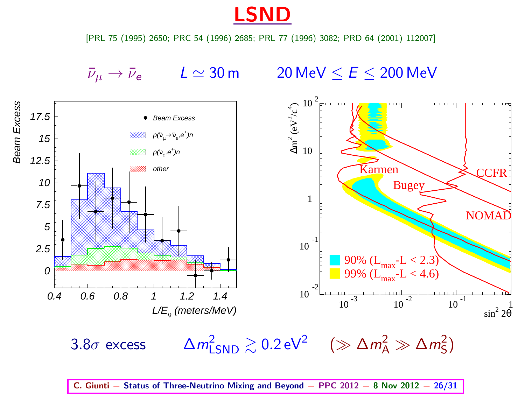LSND

[PRL 75 (1995) 2650; PRC 54 (1996) 2685; PRL 77 (1996) 3082; PRD 64 (2001) 112007]

Beam Excess

 $\bar{\nu}_\mu \rightarrow \bar{\nu}_e$   $L \simeq 30 \text{ m}$  20 MeV  $\le E \le 200$  MeV



 $3.8\sigma$  excess  $_{\rm LSND}^{2} \gtrsim 0.2 \, {\rm eV}^{2} \quad (\gg \Delta m_{\rm A}^{2} \gg \Delta m_{\rm S}^{2})$ 

C. Giunti – Status of Three-Neutrino Mixing and Beyond – PPC  $2012 - 8$  Nov  $2012 - 26/31$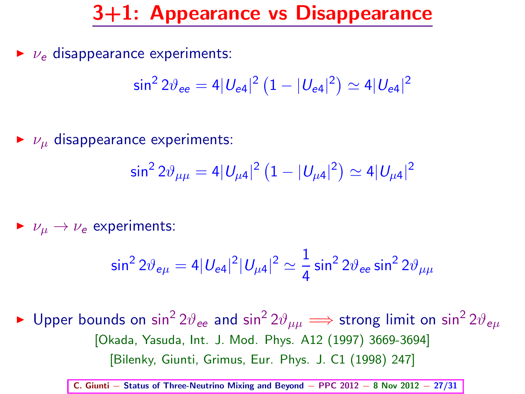#### 3+1: Appearance vs Disappearance

 $\triangleright$   $\nu_e$  disappearance experiments:

$$
\sin^2 2\vartheta_{ee} = 4|U_{e4}|^2(1-|U_{e4}|^2) \simeq 4|U_{e4}|^2
$$

 $\triangleright$   $\nu_{\mu}$  disappearance experiments:

$$
\sin^2 2\vartheta_{\mu\mu} = 4|U_{\mu 4}|^2 (1 - |U_{\mu 4}|^2) \simeq 4|U_{\mu 4}|^2
$$

 $\blacktriangleright$   $\nu_\mu \rightarrow \nu_e$  experiments:

$$
\sin^2 2\vartheta_{e\mu} = 4|U_{e4}|^2|U_{\mu 4}|^2 \simeq \frac{1}{4}\sin^2 2\vartheta_{ee}\sin^2 2\vartheta_{\mu\mu}
$$

▶ Upper bounds on  $\sin^2 2\vartheta_{ee}$  and  $\sin^2 2\vartheta_{\mu\mu} \Longrightarrow$  strong limit on  $\sin^2 2\vartheta_{e\mu}$ [Okada, Yasuda, Int. J. Mod. Phys. A12 (1997) 3669-3694] [Bilenky, Giunti, Grimus, Eur. Phys. J. C1 (1998) 247]

C. Giunti – Status of Three-Neutrino Mixing and Beyond – PPC  $2012 - 8$  Nov  $2012 - 27/31$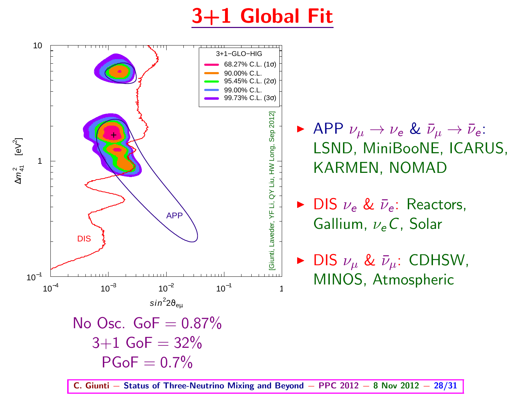### 3+1 Global Fit



 $PGoF = 0.7%$ 

 $\blacktriangleright$  APP  $\nu_\mu \to \nu_e$  &  $\bar{\nu}_\mu \to \bar{\nu}_e$ : LSND, MiniBooNE, ICARUS, KARMEN, NOMAD

▶ DIS 
$$
\nu_e
$$
 &  $\bar{\nu}_e$ : Reactors, Gallium,  $\nu_e$  C, Solar

▶ DIS 
$$
\nu_{\mu}
$$
 &  $\bar{\nu}_{\mu}$ : CDHSW, MINOS, Atmospheric

C. Giunti – Status of Three-Neutrino Mixing and Beyond – PPC  $2012 - 8$  Nov  $2012 - 28/31$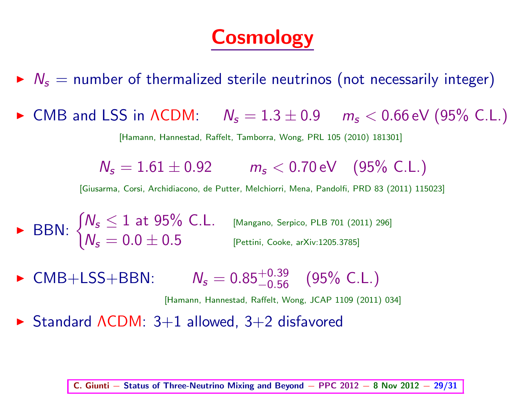## **Cosmology**

- $\triangleright$   $N_s$  = number of thermalized sterile neutrinos (not necessarily integer)
- $\triangleright$  CMB and LSS in  $\Lambda$ CDM:  $N_s = 1.3 \pm 0.9$   $m_s < 0.66$  eV (95% C.L.)

[Hamann, Hannestad, Raffelt, Tamborra, Wong, PRL 105 (2010) 181301]

 $N_s = 1.61 \pm 0.92$   $m_s < 0.70$  eV (95% C.L.)

[Giusarma, Corsi, Archidiacono, de Putter, Melchiorri, Mena, Pandolfi, PRD 83 (2011) 115023]

► BBN:  $\begin{cases} N_s \leq 1 \text{ at 95\% C.L.} \ N_s = 0.0 + 0.5 \ N_s = 0.0 + 0.5 \end{cases}$  $\textit{N}_{\sf s}=0.0\pm0.5$  [Pettini, Cooke, arXiv:1205.3785]

► CMB+LSS+BBN:  $N_s = 0.85^{+0.39}_{-0.56}$  (95% C.L.)

[Hamann, Hannestad, Raffelt, Wong, JCAP 1109 (2011) 034]

► Standard ΛCDM: 3+1 allowed, 3+2 disfavored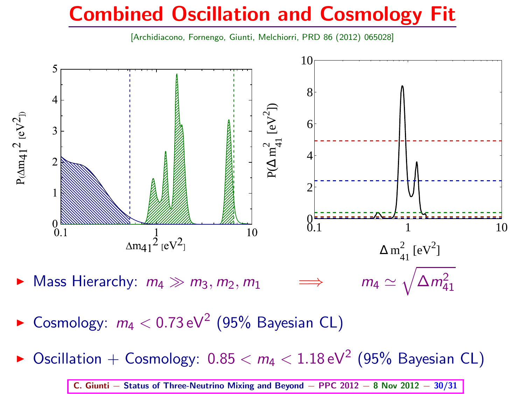#### Combined Oscillation and Cosmology Fit

[Archidiacono, Fornengo, Giunti, Melchiorri, PRD 86 (2012) 065028]



- $\blacktriangleright$  Cosmology:  $m_4 < 0.73 \, \text{eV}^2$  (95% Bayesian CL)
- $\blacktriangleright$  Oscillation  $+$  Cosmology:  $0.85 < m_4 < 1.18 \, \text{eV}^2$  (95% Bayesian CL)

C. Giunti – Status of Three-Neutrino Mixing and Beyond – PPC  $2012 - 8$  Nov  $2012 - 30/31$